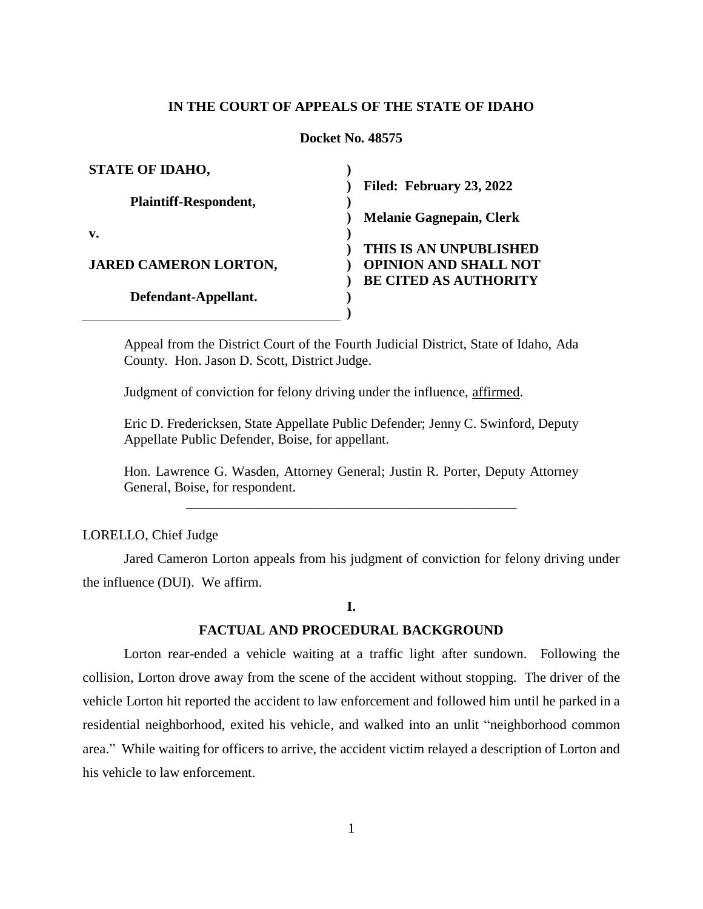### **IN THE COURT OF APPEALS OF THE STATE OF IDAHO**

#### **Docket No. 48575**

| <b>STATE OF IDAHO,</b>       |                                 |
|------------------------------|---------------------------------|
|                              | Filed: February 23, 2022        |
| <b>Plaintiff-Respondent,</b> |                                 |
|                              | <b>Melanie Gagnepain, Clerk</b> |
| v.                           |                                 |
|                              | THIS IS AN UNPUBLISHED          |
| <b>JARED CAMERON LORTON,</b> | <b>OPINION AND SHALL NOT</b>    |
|                              | <b>BE CITED AS AUTHORITY</b>    |
| Defendant-Appellant.         |                                 |
|                              |                                 |

Appeal from the District Court of the Fourth Judicial District, State of Idaho, Ada County. Hon. Jason D. Scott, District Judge.

Judgment of conviction for felony driving under the influence, affirmed.

Eric D. Fredericksen, State Appellate Public Defender; Jenny C. Swinford, Deputy Appellate Public Defender, Boise, for appellant.

Hon. Lawrence G. Wasden, Attorney General; Justin R. Porter, Deputy Attorney General, Boise, for respondent. \_\_\_\_\_\_\_\_\_\_\_\_\_\_\_\_\_\_\_\_\_\_\_\_\_\_\_\_\_\_\_\_\_\_\_\_\_\_\_\_\_\_\_\_\_\_\_\_

LORELLO, Chief Judge

Jared Cameron Lorton appeals from his judgment of conviction for felony driving under the influence (DUI). We affirm.

### **I.**

#### **FACTUAL AND PROCEDURAL BACKGROUND**

Lorton rear-ended a vehicle waiting at a traffic light after sundown. Following the collision, Lorton drove away from the scene of the accident without stopping. The driver of the vehicle Lorton hit reported the accident to law enforcement and followed him until he parked in a residential neighborhood, exited his vehicle, and walked into an unlit "neighborhood common area." While waiting for officers to arrive, the accident victim relayed a description of Lorton and his vehicle to law enforcement.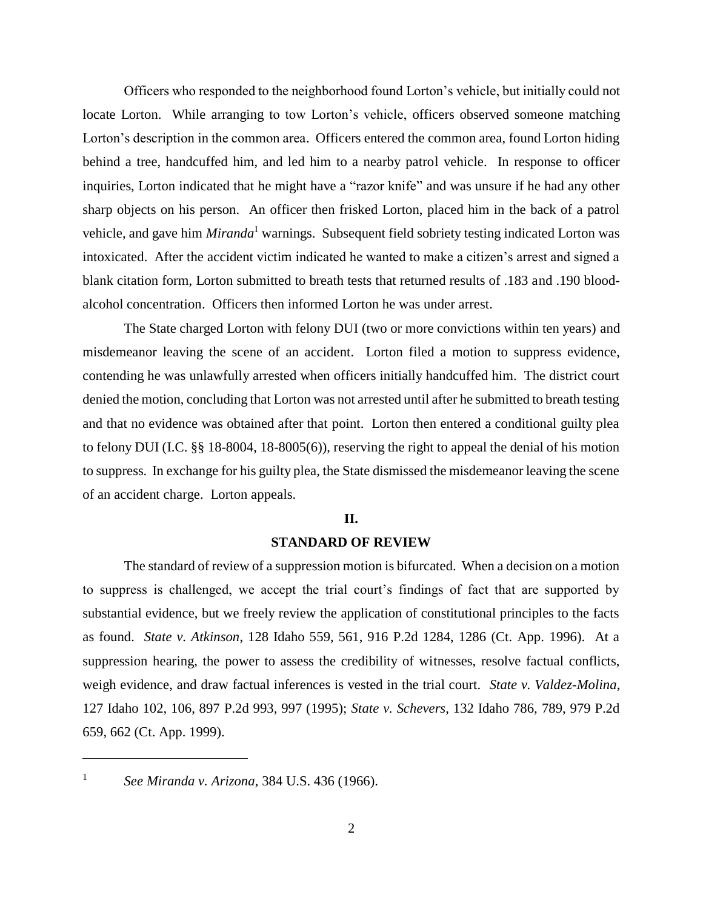Officers who responded to the neighborhood found Lorton's vehicle, but initially could not locate Lorton. While arranging to tow Lorton's vehicle, officers observed someone matching Lorton's description in the common area. Officers entered the common area, found Lorton hiding behind a tree, handcuffed him, and led him to a nearby patrol vehicle. In response to officer inquiries, Lorton indicated that he might have a "razor knife" and was unsure if he had any other sharp objects on his person. An officer then frisked Lorton, placed him in the back of a patrol vehicle, and gave him *Miranda*<sup>1</sup> warnings. Subsequent field sobriety testing indicated Lorton was intoxicated. After the accident victim indicated he wanted to make a citizen's arrest and signed a blank citation form, Lorton submitted to breath tests that returned results of .183 and .190 bloodalcohol concentration. Officers then informed Lorton he was under arrest.

The State charged Lorton with felony DUI (two or more convictions within ten years) and misdemeanor leaving the scene of an accident. Lorton filed a motion to suppress evidence, contending he was unlawfully arrested when officers initially handcuffed him. The district court denied the motion, concluding that Lorton was not arrested until after he submitted to breath testing and that no evidence was obtained after that point. Lorton then entered a conditional guilty plea to felony DUI (I.C. §§ 18-8004, 18-8005(6)), reserving the right to appeal the denial of his motion to suppress. In exchange for his guilty plea, the State dismissed the misdemeanor leaving the scene of an accident charge. Lorton appeals.

#### **II.**

#### **STANDARD OF REVIEW**

The standard of review of a suppression motion is bifurcated. When a decision on a motion to suppress is challenged, we accept the trial court's findings of fact that are supported by substantial evidence, but we freely review the application of constitutional principles to the facts as found. *State v. Atkinson*, 128 Idaho 559, 561, 916 P.2d 1284, 1286 (Ct. App. 1996). At a suppression hearing, the power to assess the credibility of witnesses, resolve factual conflicts, weigh evidence, and draw factual inferences is vested in the trial court. *State v. Valdez-Molina*, 127 Idaho 102, 106, 897 P.2d 993, 997 (1995); *State v. Schevers*, 132 Idaho 786, 789, 979 P.2d 659, 662 (Ct. App. 1999).

 $\overline{a}$ 1

*See Miranda v. Arizona*, 384 U.S. 436 (1966).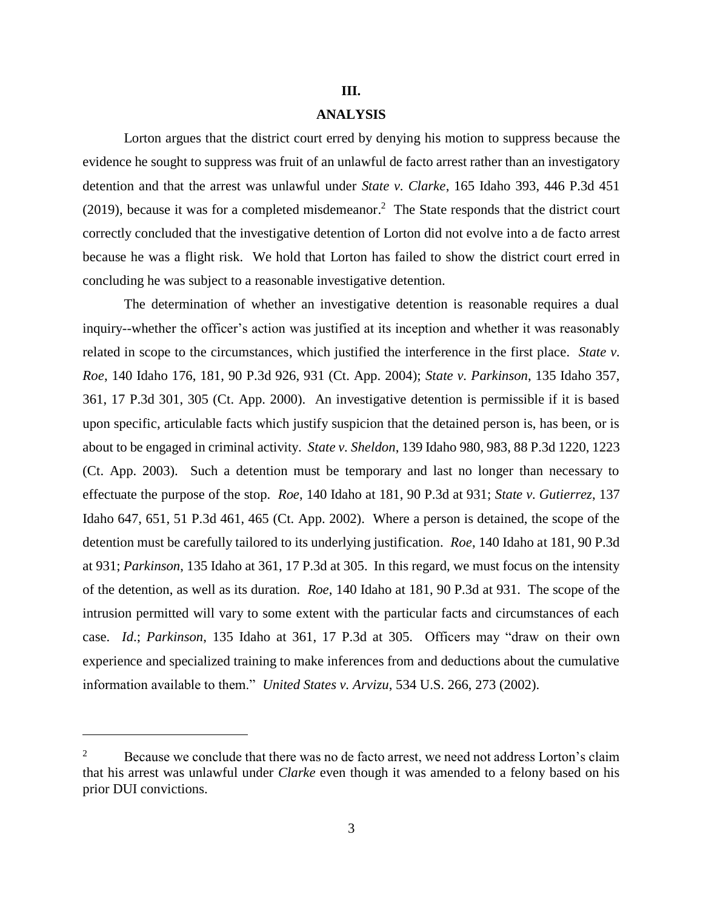#### **III.**

# **ANALYSIS**

Lorton argues that the district court erred by denying his motion to suppress because the evidence he sought to suppress was fruit of an unlawful de facto arrest rather than an investigatory detention and that the arrest was unlawful under *State v. Clarke*, 165 Idaho 393, 446 P.3d 451  $(2019)$ , because it was for a completed misdemeanor.<sup>2</sup> The State responds that the district court correctly concluded that the investigative detention of Lorton did not evolve into a de facto arrest because he was a flight risk. We hold that Lorton has failed to show the district court erred in concluding he was subject to a reasonable investigative detention.

The determination of whether an investigative detention is reasonable requires a dual inquiry--whether the officer's action was justified at its inception and whether it was reasonably related in scope to the circumstances, which justified the interference in the first place. *State v. Roe*, 140 Idaho 176, 181, 90 P.3d 926, 931 (Ct. App. 2004); *State v. Parkinson*, 135 Idaho 357, 361, 17 P.3d 301, 305 (Ct. App. 2000). An investigative detention is permissible if it is based upon specific, articulable facts which justify suspicion that the detained person is, has been, or is about to be engaged in criminal activity. *State v. Sheldon*, 139 Idaho 980, 983, 88 P.3d 1220, 1223 (Ct. App. 2003). Such a detention must be temporary and last no longer than necessary to effectuate the purpose of the stop. *Roe*, 140 Idaho at 181, 90 P.3d at 931; *State v. Gutierrez*, 137 Idaho 647, 651, 51 P.3d 461, 465 (Ct. App. 2002). Where a person is detained, the scope of the detention must be carefully tailored to its underlying justification. *Roe*, 140 Idaho at 181, 90 P.3d at 931; *Parkinson*, 135 Idaho at 361, 17 P.3d at 305. In this regard, we must focus on the intensity of the detention, as well as its duration. *Roe*, 140 Idaho at 181, 90 P.3d at 931. The scope of the intrusion permitted will vary to some extent with the particular facts and circumstances of each case. *Id*.; *Parkinson*, 135 Idaho at 361, 17 P.3d at 305. Officers may "draw on their own experience and specialized training to make inferences from and deductions about the cumulative information available to them." *United States v. Arvizu*, 534 U.S. 266, 273 (2002).

 $\overline{a}$ 

<sup>&</sup>lt;sup>2</sup> Because we conclude that there was no de facto arrest, we need not address Lorton's claim that his arrest was unlawful under *Clarke* even though it was amended to a felony based on his prior DUI convictions.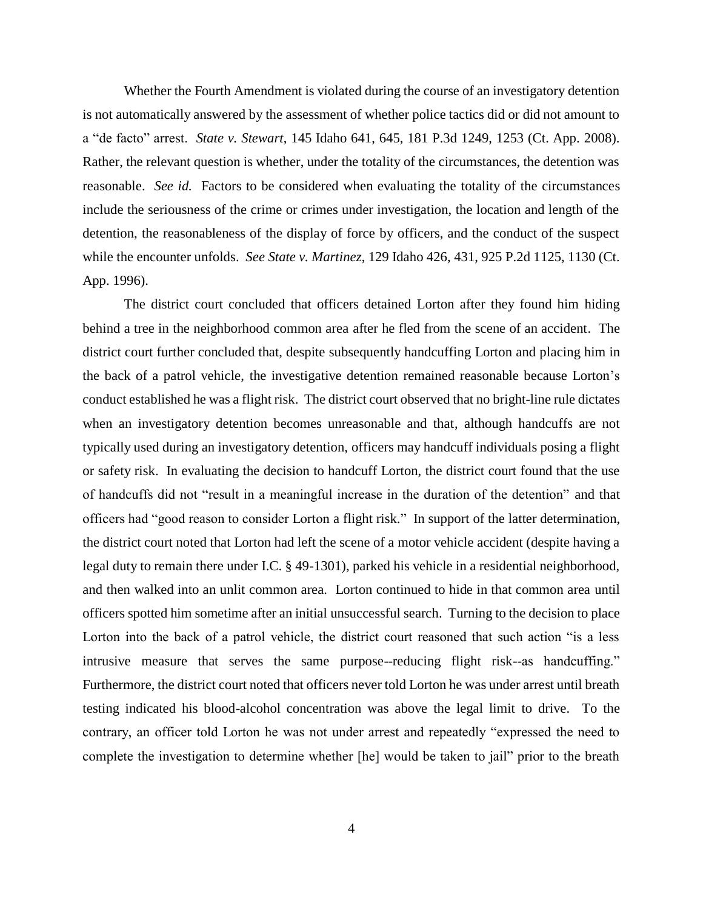Whether the Fourth Amendment is violated during the course of an investigatory detention is not automatically answered by the assessment of whether police tactics did or did not amount to a "de facto" arrest. *State v. Stewart*, 145 Idaho 641, 645, 181 P.3d 1249, 1253 (Ct. App. 2008). Rather, the relevant question is whether, under the totality of the circumstances, the detention was reasonable. *See id.* Factors to be considered when evaluating the totality of the circumstances include the seriousness of the crime or crimes under investigation, the location and length of the detention, the reasonableness of the display of force by officers, and the conduct of the suspect while the encounter unfolds. *See State v. Martinez*, 129 Idaho 426, 431, 925 P.2d 1125, 1130 (Ct. App. 1996).

The district court concluded that officers detained Lorton after they found him hiding behind a tree in the neighborhood common area after he fled from the scene of an accident. The district court further concluded that, despite subsequently handcuffing Lorton and placing him in the back of a patrol vehicle, the investigative detention remained reasonable because Lorton's conduct established he was a flight risk. The district court observed that no bright-line rule dictates when an investigatory detention becomes unreasonable and that, although handcuffs are not typically used during an investigatory detention, officers may handcuff individuals posing a flight or safety risk. In evaluating the decision to handcuff Lorton, the district court found that the use of handcuffs did not "result in a meaningful increase in the duration of the detention" and that officers had "good reason to consider Lorton a flight risk." In support of the latter determination, the district court noted that Lorton had left the scene of a motor vehicle accident (despite having a legal duty to remain there under I.C. § 49-1301), parked his vehicle in a residential neighborhood, and then walked into an unlit common area. Lorton continued to hide in that common area until officers spotted him sometime after an initial unsuccessful search. Turning to the decision to place Lorton into the back of a patrol vehicle, the district court reasoned that such action "is a less intrusive measure that serves the same purpose--reducing flight risk--as handcuffing." Furthermore, the district court noted that officers never told Lorton he was under arrest until breath testing indicated his blood-alcohol concentration was above the legal limit to drive. To the contrary, an officer told Lorton he was not under arrest and repeatedly "expressed the need to complete the investigation to determine whether [he] would be taken to jail" prior to the breath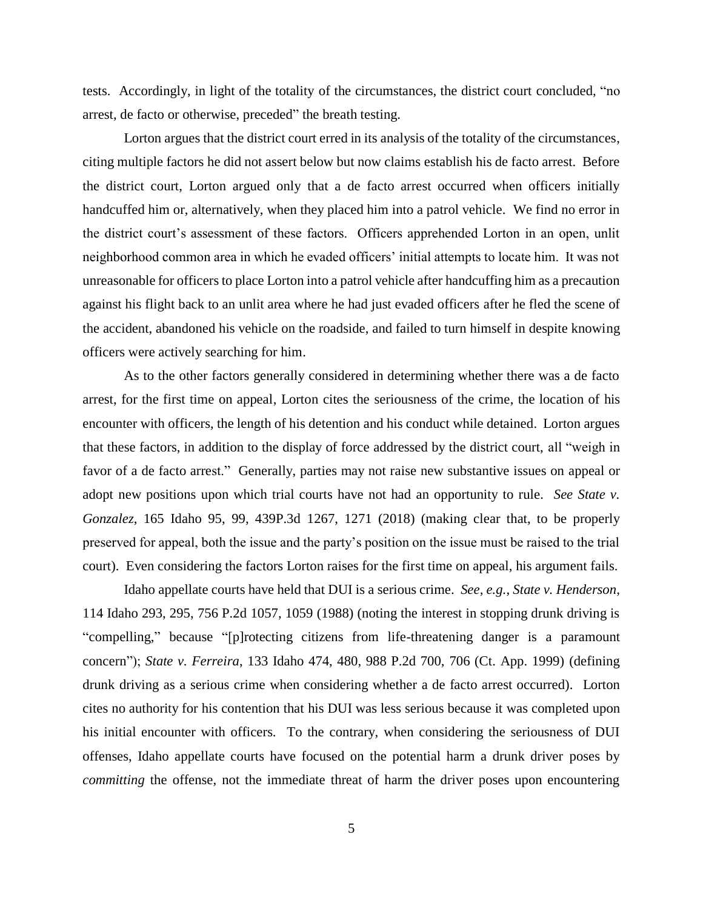tests. Accordingly, in light of the totality of the circumstances, the district court concluded, "no arrest, de facto or otherwise, preceded" the breath testing.

Lorton argues that the district court erred in its analysis of the totality of the circumstances, citing multiple factors he did not assert below but now claims establish his de facto arrest. Before the district court, Lorton argued only that a de facto arrest occurred when officers initially handcuffed him or, alternatively, when they placed him into a patrol vehicle. We find no error in the district court's assessment of these factors. Officers apprehended Lorton in an open, unlit neighborhood common area in which he evaded officers' initial attempts to locate him. It was not unreasonable for officers to place Lorton into a patrol vehicle after handcuffing him as a precaution against his flight back to an unlit area where he had just evaded officers after he fled the scene of the accident, abandoned his vehicle on the roadside, and failed to turn himself in despite knowing officers were actively searching for him.

As to the other factors generally considered in determining whether there was a de facto arrest, for the first time on appeal, Lorton cites the seriousness of the crime, the location of his encounter with officers, the length of his detention and his conduct while detained. Lorton argues that these factors, in addition to the display of force addressed by the district court, all "weigh in favor of a de facto arrest." Generally, parties may not raise new substantive issues on appeal or adopt new positions upon which trial courts have not had an opportunity to rule. *See State v. Gonzalez*, 165 Idaho 95, 99, 439P.3d 1267, 1271 (2018) (making clear that, to be properly preserved for appeal, both the issue and the party's position on the issue must be raised to the trial court). Even considering the factors Lorton raises for the first time on appeal, his argument fails.

Idaho appellate courts have held that DUI is a serious crime. *See, e.g.*, *State v. Henderson*, 114 Idaho 293, 295, 756 P.2d 1057, 1059 (1988) (noting the interest in stopping drunk driving is "compelling," because "[p]rotecting citizens from life-threatening danger is a paramount concern"); *State v. Ferreira*, 133 Idaho 474, 480, 988 P.2d 700, 706 (Ct. App. 1999) (defining drunk driving as a serious crime when considering whether a de facto arrest occurred). Lorton cites no authority for his contention that his DUI was less serious because it was completed upon his initial encounter with officers. To the contrary, when considering the seriousness of DUI offenses, Idaho appellate courts have focused on the potential harm a drunk driver poses by *committing* the offense, not the immediate threat of harm the driver poses upon encountering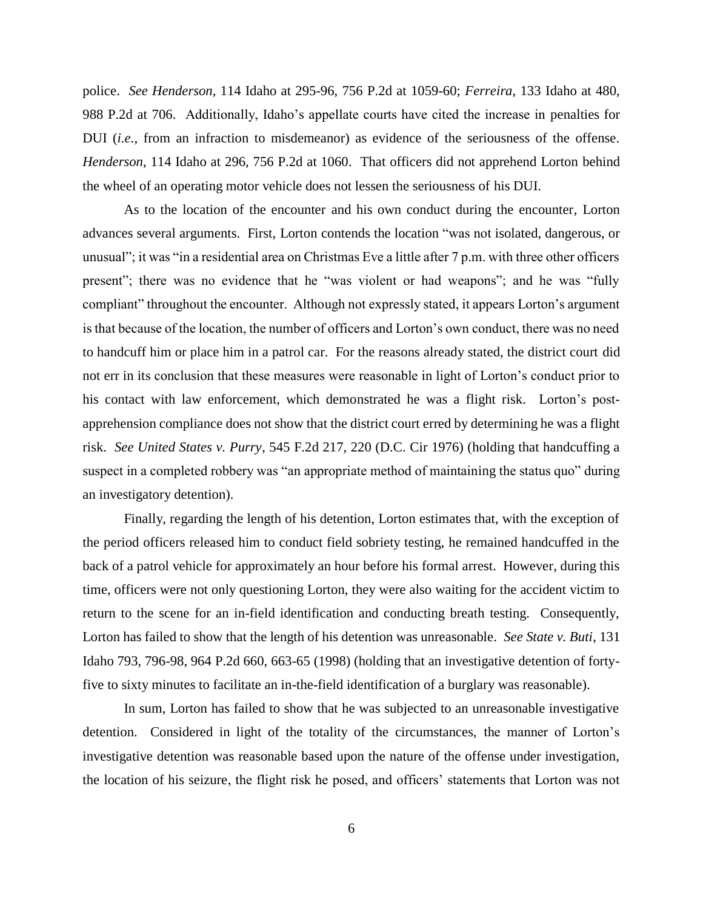police. *See Henderson*, 114 Idaho at 295-96, 756 P.2d at 1059-60; *Ferreira*, 133 Idaho at 480, 988 P.2d at 706. Additionally, Idaho's appellate courts have cited the increase in penalties for DUI (*i.e.*, from an infraction to misdemeanor) as evidence of the seriousness of the offense. *Henderson*, 114 Idaho at 296, 756 P.2d at 1060. That officers did not apprehend Lorton behind the wheel of an operating motor vehicle does not lessen the seriousness of his DUI.

As to the location of the encounter and his own conduct during the encounter, Lorton advances several arguments. First, Lorton contends the location "was not isolated, dangerous, or unusual"; it was "in a residential area on Christmas Eve a little after 7 p.m. with three other officers present"; there was no evidence that he "was violent or had weapons"; and he was "fully compliant" throughout the encounter. Although not expressly stated, it appears Lorton's argument is that because of the location, the number of officers and Lorton's own conduct, there was no need to handcuff him or place him in a patrol car. For the reasons already stated, the district court did not err in its conclusion that these measures were reasonable in light of Lorton's conduct prior to his contact with law enforcement, which demonstrated he was a flight risk. Lorton's postapprehension compliance does not show that the district court erred by determining he was a flight risk. *See United States v. Purry*, 545 F.2d 217, 220 (D.C. Cir 1976) (holding that handcuffing a suspect in a completed robbery was "an appropriate method of maintaining the status quo" during an investigatory detention).

Finally, regarding the length of his detention, Lorton estimates that, with the exception of the period officers released him to conduct field sobriety testing, he remained handcuffed in the back of a patrol vehicle for approximately an hour before his formal arrest. However, during this time, officers were not only questioning Lorton, they were also waiting for the accident victim to return to the scene for an in-field identification and conducting breath testing. Consequently, Lorton has failed to show that the length of his detention was unreasonable. *See State v. Buti*, 131 Idaho 793, 796-98, 964 P.2d 660, 663-65 (1998) (holding that an investigative detention of fortyfive to sixty minutes to facilitate an in-the-field identification of a burglary was reasonable).

In sum, Lorton has failed to show that he was subjected to an unreasonable investigative detention. Considered in light of the totality of the circumstances, the manner of Lorton's investigative detention was reasonable based upon the nature of the offense under investigation, the location of his seizure, the flight risk he posed, and officers' statements that Lorton was not